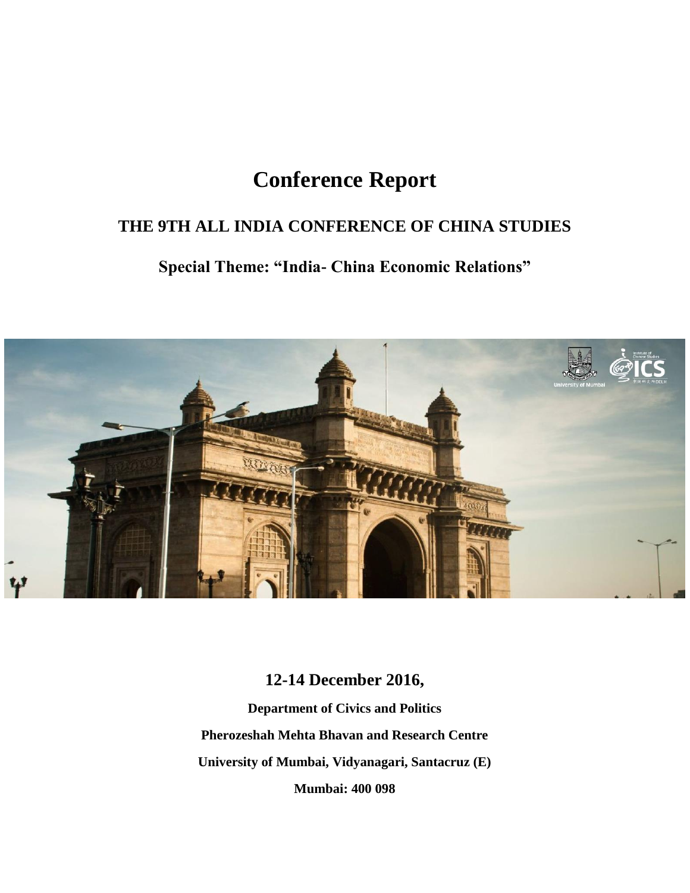# **Conference Report**

### **THE 9TH ALL INDIA CONFERENCE OF CHINA STUDIES**

## **Special Theme: "India- China Economic Relations"**



### **12-14 December 2016,**

**Department of Civics and Politics Pherozeshah Mehta Bhavan and Research Centre University of Mumbai, Vidyanagari, Santacruz (E) Mumbai: 400 098**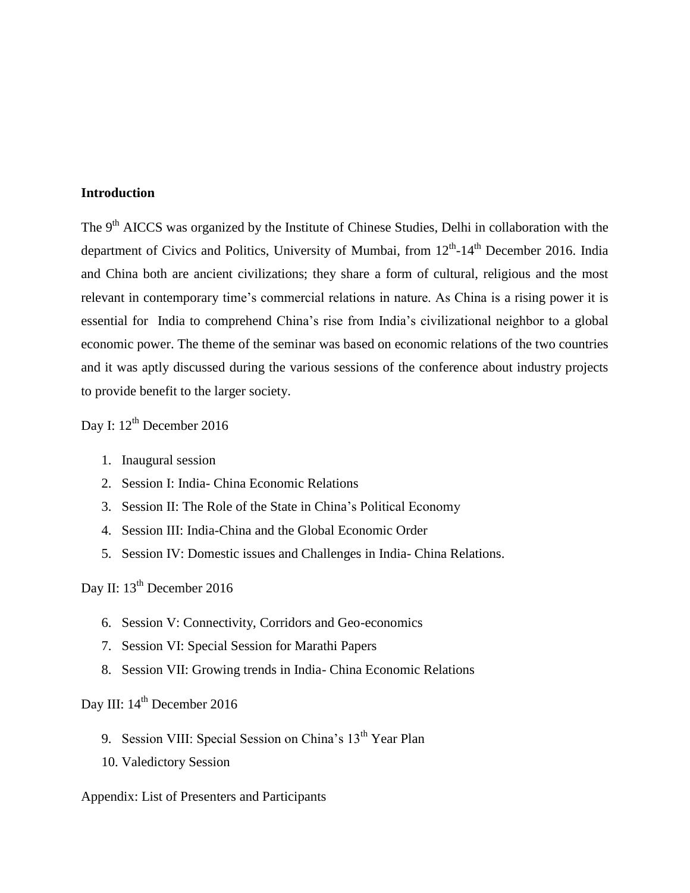#### **Introduction**

The 9<sup>th</sup> AICCS was organized by the Institute of Chinese Studies, Delhi in collaboration with the department of Civics and Politics, University of Mumbai, from 12<sup>th</sup>-14<sup>th</sup> December 2016. India and China both are ancient civilizations; they share a form of cultural, religious and the most relevant in contemporary time's commercial relations in nature. As China is a rising power it is essential for India to comprehend China"s rise from India"s civilizational neighbor to a global economic power. The theme of the seminar was based on economic relations of the two countries and it was aptly discussed during the various sessions of the conference about industry projects to provide benefit to the larger society.

Day I:  $12^{th}$  December 2016

- 1. Inaugural session
- 2. Session I: India- China Economic Relations
- 3. Session II: The Role of the State in China"s Political Economy
- 4. Session III: India-China and the Global Economic Order
- 5. Session IV: Domestic issues and Challenges in India- China Relations.

Day II: 13<sup>th</sup> December 2016

- 6. Session V: Connectivity, Corridors and Geo-economics
- 7. Session VI: Special Session for Marathi Papers
- 8. Session VII: Growing trends in India- China Economic Relations

Day III:  $14<sup>th</sup>$  December 2016

- 9. Session VIII: Special Session on China's 13<sup>th</sup> Year Plan
- 10. Valedictory Session

#### Appendix: List of Presenters and Participants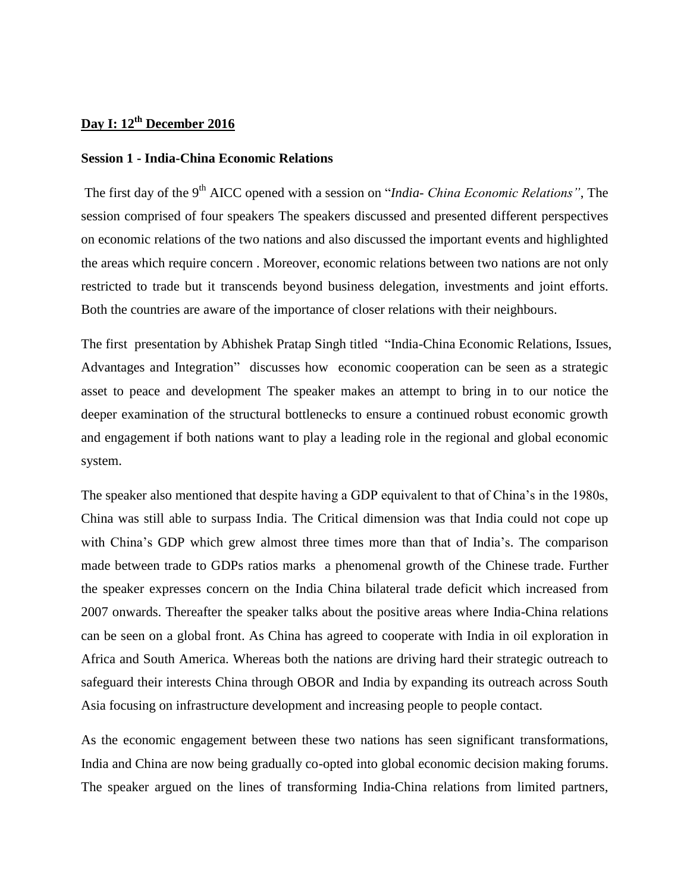### **Day I: 12th December 2016**

#### **Session 1 - India-China Economic Relations**

The first day of the 9<sup>th</sup> AICC opened with a session on "*India- China Economic Relations*", The session comprised of four speakers The speakers discussed and presented different perspectives on economic relations of the two nations and also discussed the important events and highlighted the areas which require concern . Moreover, economic relations between two nations are not only restricted to trade but it transcends beyond business delegation, investments and joint efforts. Both the countries are aware of the importance of closer relations with their neighbours.

The first presentation by Abhishek Pratap Singh titled "India-China Economic Relations, Issues, Advantages and Integration" discusses how economic cooperation can be seen as a strategic asset to peace and development The speaker makes an attempt to bring in to our notice the deeper examination of the structural bottlenecks to ensure a continued robust economic growth and engagement if both nations want to play a leading role in the regional and global economic system.

The speaker also mentioned that despite having a GDP equivalent to that of China's in the 1980s, China was still able to surpass India. The Critical dimension was that India could not cope up with China's GDP which grew almost three times more than that of India's. The comparison made between trade to GDPs ratios marks a phenomenal growth of the Chinese trade. Further the speaker expresses concern on the India China bilateral trade deficit which increased from 2007 onwards. Thereafter the speaker talks about the positive areas where India-China relations can be seen on a global front. As China has agreed to cooperate with India in oil exploration in Africa and South America. Whereas both the nations are driving hard their strategic outreach to safeguard their interests China through OBOR and India by expanding its outreach across South Asia focusing on infrastructure development and increasing people to people contact.

As the economic engagement between these two nations has seen significant transformations, India and China are now being gradually co-opted into global economic decision making forums. The speaker argued on the lines of transforming India-China relations from limited partners,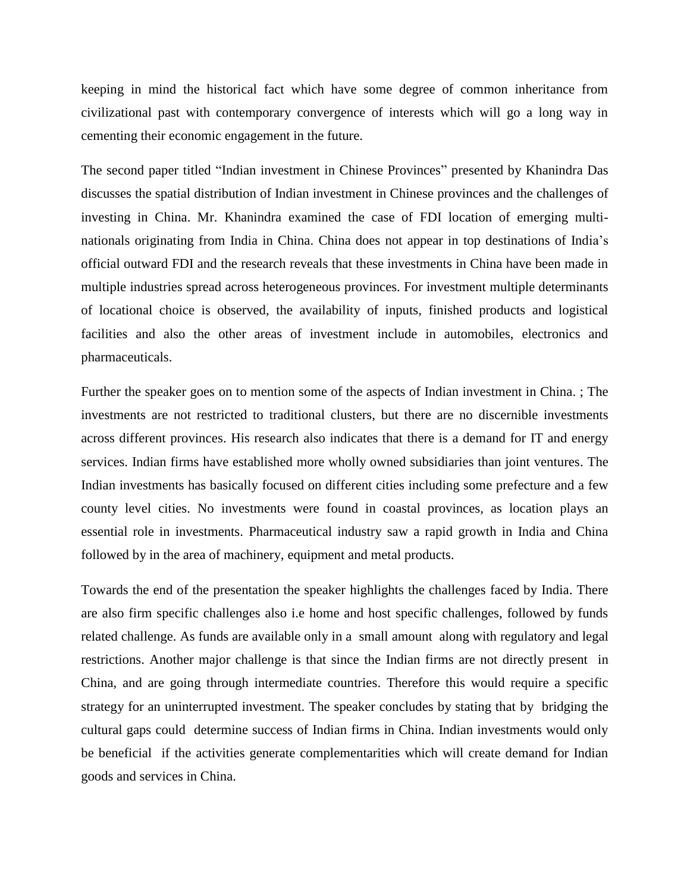keeping in mind the historical fact which have some degree of common inheritance from civilizational past with contemporary convergence of interests which will go a long way in cementing their economic engagement in the future.

The second paper titled "Indian investment in Chinese Provinces" presented by Khanindra Das discusses the spatial distribution of Indian investment in Chinese provinces and the challenges of investing in China. Mr. Khanindra examined the case of FDI location of emerging multinationals originating from India in China. China does not appear in top destinations of India"s official outward FDI and the research reveals that these investments in China have been made in multiple industries spread across heterogeneous provinces. For investment multiple determinants of locational choice is observed, the availability of inputs, finished products and logistical facilities and also the other areas of investment include in automobiles, electronics and pharmaceuticals.

Further the speaker goes on to mention some of the aspects of Indian investment in China. ; The investments are not restricted to traditional clusters, but there are no discernible investments across different provinces. His research also indicates that there is a demand for IT and energy services. Indian firms have established more wholly owned subsidiaries than joint ventures. The Indian investments has basically focused on different cities including some prefecture and a few county level cities. No investments were found in coastal provinces, as location plays an essential role in investments. Pharmaceutical industry saw a rapid growth in India and China followed by in the area of machinery, equipment and metal products.

Towards the end of the presentation the speaker highlights the challenges faced by India. There are also firm specific challenges also i.e home and host specific challenges, followed by funds related challenge. As funds are available only in a small amount along with regulatory and legal restrictions. Another major challenge is that since the Indian firms are not directly present in China, and are going through intermediate countries. Therefore this would require a specific strategy for an uninterrupted investment. The speaker concludes by stating that by bridging the cultural gaps could determine success of Indian firms in China. Indian investments would only be beneficial if the activities generate complementarities which will create demand for Indian goods and services in China.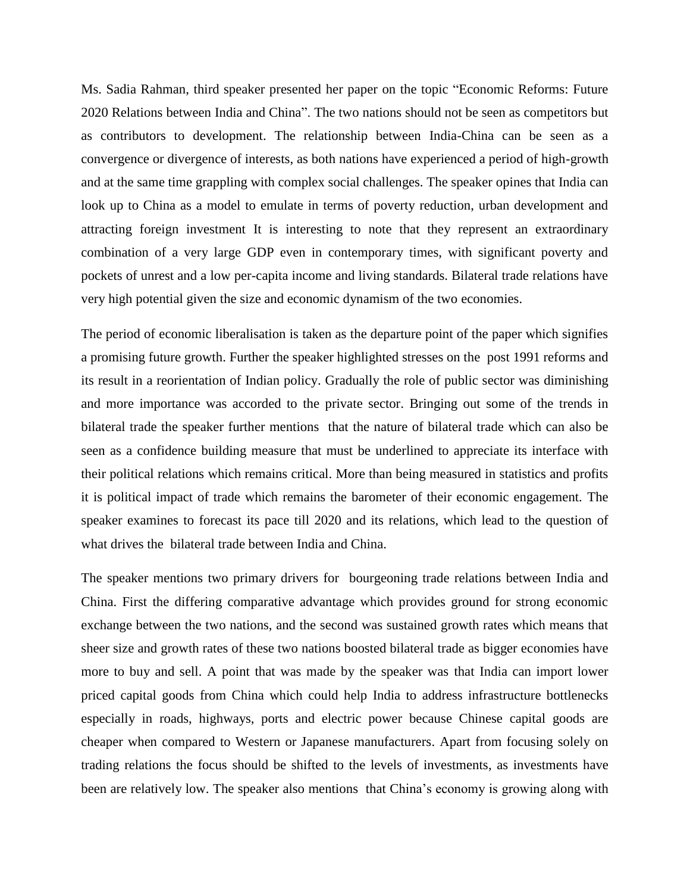Ms. Sadia Rahman, third speaker presented her paper on the topic "Economic Reforms: Future 2020 Relations between India and China". The two nations should not be seen as competitors but as contributors to development. The relationship between India-China can be seen as a convergence or divergence of interests, as both nations have experienced a period of high-growth and at the same time grappling with complex social challenges. The speaker opines that India can look up to China as a model to emulate in terms of poverty reduction, urban development and attracting foreign investment It is interesting to note that they represent an extraordinary combination of a very large GDP even in contemporary times, with significant poverty and pockets of unrest and a low per-capita income and living standards. Bilateral trade relations have very high potential given the size and economic dynamism of the two economies.

The period of economic liberalisation is taken as the departure point of the paper which signifies a promising future growth. Further the speaker highlighted stresses on the post 1991 reforms and its result in a reorientation of Indian policy. Gradually the role of public sector was diminishing and more importance was accorded to the private sector. Bringing out some of the trends in bilateral trade the speaker further mentions that the nature of bilateral trade which can also be seen as a confidence building measure that must be underlined to appreciate its interface with their political relations which remains critical. More than being measured in statistics and profits it is political impact of trade which remains the barometer of their economic engagement. The speaker examines to forecast its pace till 2020 and its relations, which lead to the question of what drives the bilateral trade between India and China.

The speaker mentions two primary drivers for bourgeoning trade relations between India and China. First the differing comparative advantage which provides ground for strong economic exchange between the two nations, and the second was sustained growth rates which means that sheer size and growth rates of these two nations boosted bilateral trade as bigger economies have more to buy and sell. A point that was made by the speaker was that India can import lower priced capital goods from China which could help India to address infrastructure bottlenecks especially in roads, highways, ports and electric power because Chinese capital goods are cheaper when compared to Western or Japanese manufacturers. Apart from focusing solely on trading relations the focus should be shifted to the levels of investments, as investments have been are relatively low. The speaker also mentions that China"s economy is growing along with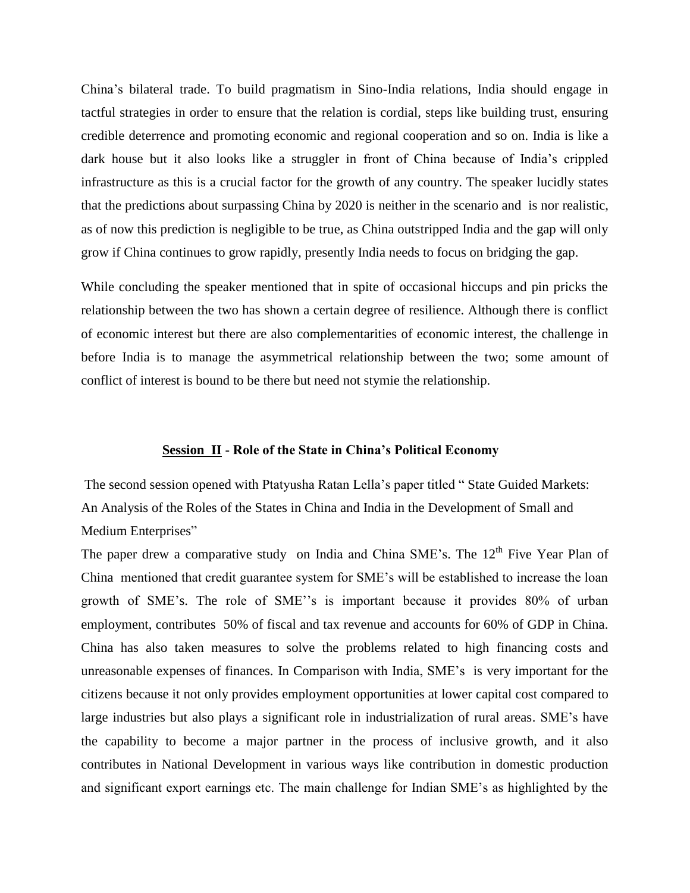China"s bilateral trade. To build pragmatism in Sino-India relations, India should engage in tactful strategies in order to ensure that the relation is cordial, steps like building trust, ensuring credible deterrence and promoting economic and regional cooperation and so on. India is like a dark house but it also looks like a struggler in front of China because of India"s crippled infrastructure as this is a crucial factor for the growth of any country. The speaker lucidly states that the predictions about surpassing China by 2020 is neither in the scenario and is nor realistic, as of now this prediction is negligible to be true, as China outstripped India and the gap will only grow if China continues to grow rapidly, presently India needs to focus on bridging the gap.

While concluding the speaker mentioned that in spite of occasional hiccups and pin pricks the relationship between the two has shown a certain degree of resilience. Although there is conflict of economic interest but there are also complementarities of economic interest, the challenge in before India is to manage the asymmetrical relationship between the two; some amount of conflict of interest is bound to be there but need not stymie the relationship.

#### **Session II - Role of the State in China's Political Economy**

The second session opened with Ptatyusha Ratan Lella"s paper titled " State Guided Markets: An Analysis of the Roles of the States in China and India in the Development of Small and Medium Enterprises"

The paper drew a comparative study on India and China SME's. The 12<sup>th</sup> Five Year Plan of China mentioned that credit guarantee system for SME"s will be established to increase the loan growth of SME's. The role of SME''s is important because it provides 80% of urban employment, contributes 50% of fiscal and tax revenue and accounts for 60% of GDP in China. China has also taken measures to solve the problems related to high financing costs and unreasonable expenses of finances. In Comparison with India, SME"s is very important for the citizens because it not only provides employment opportunities at lower capital cost compared to large industries but also plays a significant role in industrialization of rural areas. SME"s have the capability to become a major partner in the process of inclusive growth, and it also contributes in National Development in various ways like contribution in domestic production and significant export earnings etc. The main challenge for Indian SME"s as highlighted by the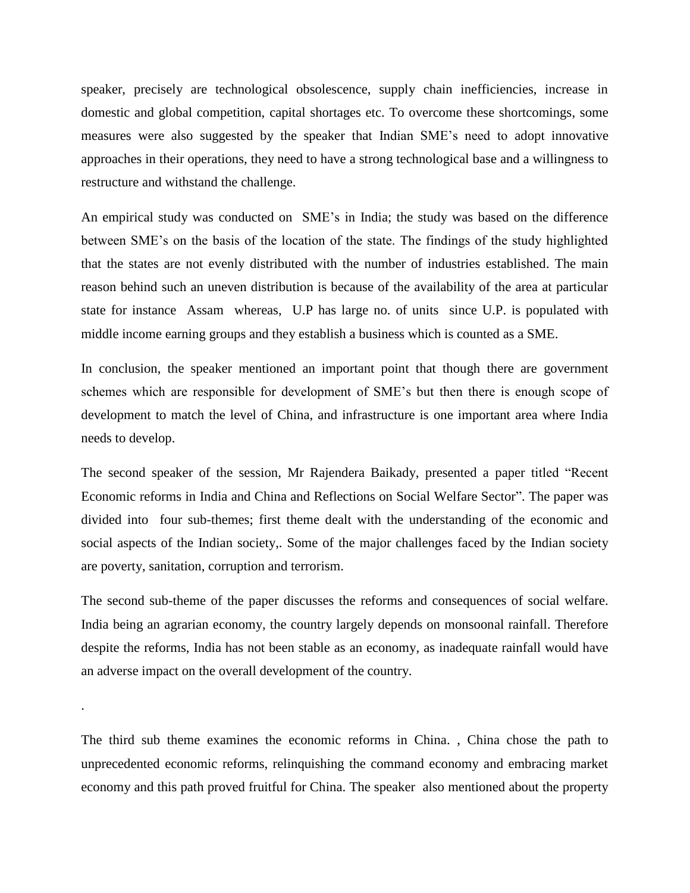speaker, precisely are technological obsolescence, supply chain inefficiencies, increase in domestic and global competition, capital shortages etc. To overcome these shortcomings, some measures were also suggested by the speaker that Indian SME"s need to adopt innovative approaches in their operations, they need to have a strong technological base and a willingness to restructure and withstand the challenge.

An empirical study was conducted on SME"s in India; the study was based on the difference between SME"s on the basis of the location of the state. The findings of the study highlighted that the states are not evenly distributed with the number of industries established. The main reason behind such an uneven distribution is because of the availability of the area at particular state for instance Assam whereas, U.P has large no. of units since U.P. is populated with middle income earning groups and they establish a business which is counted as a SME.

In conclusion, the speaker mentioned an important point that though there are government schemes which are responsible for development of SME"s but then there is enough scope of development to match the level of China, and infrastructure is one important area where India needs to develop.

The second speaker of the session, Mr Rajendera Baikady, presented a paper titled "Recent Economic reforms in India and China and Reflections on Social Welfare Sector". The paper was divided into four sub-themes; first theme dealt with the understanding of the economic and social aspects of the Indian society,. Some of the major challenges faced by the Indian society are poverty, sanitation, corruption and terrorism.

The second sub-theme of the paper discusses the reforms and consequences of social welfare. India being an agrarian economy, the country largely depends on monsoonal rainfall. Therefore despite the reforms, India has not been stable as an economy, as inadequate rainfall would have an adverse impact on the overall development of the country.

The third sub theme examines the economic reforms in China. , China chose the path to unprecedented economic reforms, relinquishing the command economy and embracing market economy and this path proved fruitful for China. The speaker also mentioned about the property

.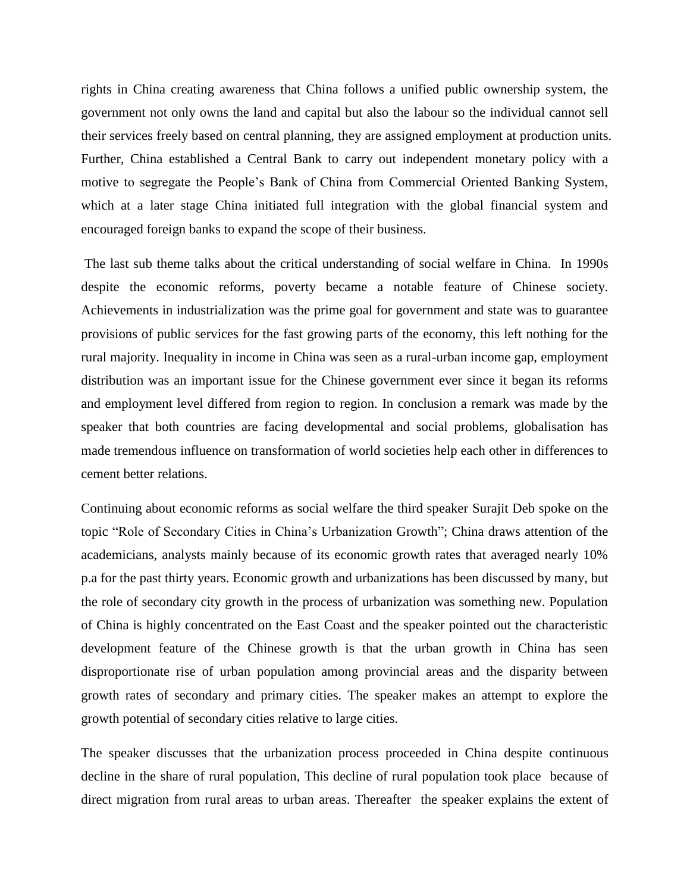rights in China creating awareness that China follows a unified public ownership system, the government not only owns the land and capital but also the labour so the individual cannot sell their services freely based on central planning, they are assigned employment at production units. Further, China established a Central Bank to carry out independent monetary policy with a motive to segregate the People"s Bank of China from Commercial Oriented Banking System, which at a later stage China initiated full integration with the global financial system and encouraged foreign banks to expand the scope of their business.

The last sub theme talks about the critical understanding of social welfare in China. In 1990s despite the economic reforms, poverty became a notable feature of Chinese society. Achievements in industrialization was the prime goal for government and state was to guarantee provisions of public services for the fast growing parts of the economy, this left nothing for the rural majority. Inequality in income in China was seen as a rural-urban income gap, employment distribution was an important issue for the Chinese government ever since it began its reforms and employment level differed from region to region. In conclusion a remark was made by the speaker that both countries are facing developmental and social problems, globalisation has made tremendous influence on transformation of world societies help each other in differences to cement better relations.

Continuing about economic reforms as social welfare the third speaker Surajit Deb spoke on the topic "Role of Secondary Cities in China"s Urbanization Growth"; China draws attention of the academicians, analysts mainly because of its economic growth rates that averaged nearly 10% p.a for the past thirty years. Economic growth and urbanizations has been discussed by many, but the role of secondary city growth in the process of urbanization was something new. Population of China is highly concentrated on the East Coast and the speaker pointed out the characteristic development feature of the Chinese growth is that the urban growth in China has seen disproportionate rise of urban population among provincial areas and the disparity between growth rates of secondary and primary cities. The speaker makes an attempt to explore the growth potential of secondary cities relative to large cities.

The speaker discusses that the urbanization process proceeded in China despite continuous decline in the share of rural population, This decline of rural population took place because of direct migration from rural areas to urban areas. Thereafter the speaker explains the extent of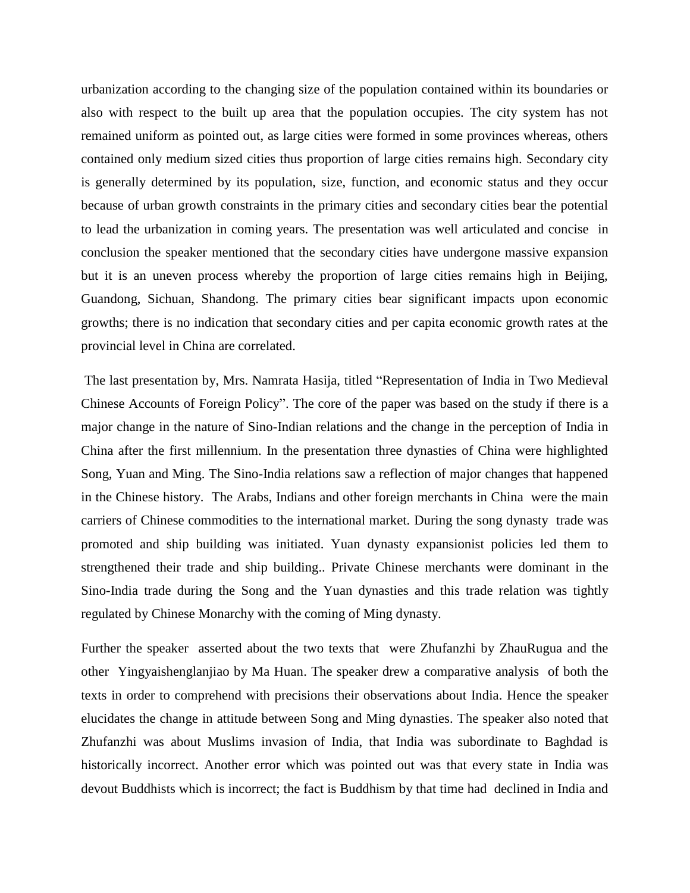urbanization according to the changing size of the population contained within its boundaries or also with respect to the built up area that the population occupies. The city system has not remained uniform as pointed out, as large cities were formed in some provinces whereas, others contained only medium sized cities thus proportion of large cities remains high. Secondary city is generally determined by its population, size, function, and economic status and they occur because of urban growth constraints in the primary cities and secondary cities bear the potential to lead the urbanization in coming years. The presentation was well articulated and concise in conclusion the speaker mentioned that the secondary cities have undergone massive expansion but it is an uneven process whereby the proportion of large cities remains high in Beijing, Guandong, Sichuan, Shandong. The primary cities bear significant impacts upon economic growths; there is no indication that secondary cities and per capita economic growth rates at the provincial level in China are correlated.

The last presentation by, Mrs. Namrata Hasija, titled "Representation of India in Two Medieval Chinese Accounts of Foreign Policy". The core of the paper was based on the study if there is a major change in the nature of Sino-Indian relations and the change in the perception of India in China after the first millennium. In the presentation three dynasties of China were highlighted Song, Yuan and Ming. The Sino-India relations saw a reflection of major changes that happened in the Chinese history. The Arabs, Indians and other foreign merchants in China were the main carriers of Chinese commodities to the international market. During the song dynasty trade was promoted and ship building was initiated. Yuan dynasty expansionist policies led them to strengthened their trade and ship building.. Private Chinese merchants were dominant in the Sino-India trade during the Song and the Yuan dynasties and this trade relation was tightly regulated by Chinese Monarchy with the coming of Ming dynasty.

Further the speaker asserted about the two texts that were Zhufanzhi by ZhauRugua and the other Yingyaishenglanjiao by Ma Huan. The speaker drew a comparative analysis of both the texts in order to comprehend with precisions their observations about India. Hence the speaker elucidates the change in attitude between Song and Ming dynasties. The speaker also noted that Zhufanzhi was about Muslims invasion of India, that India was subordinate to Baghdad is historically incorrect. Another error which was pointed out was that every state in India was devout Buddhists which is incorrect; the fact is Buddhism by that time had declined in India and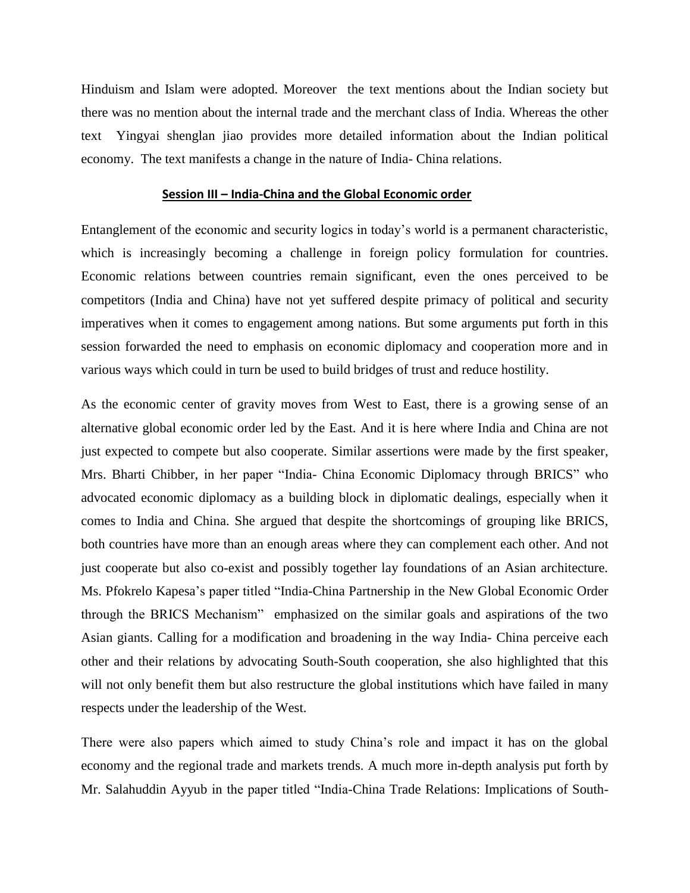Hinduism and Islam were adopted. Moreover the text mentions about the Indian society but there was no mention about the internal trade and the merchant class of India. Whereas the other text Yingyai shenglan jiao provides more detailed information about the Indian political economy. The text manifests a change in the nature of India- China relations.

#### **Session III – India-China and the Global Economic order**

Entanglement of the economic and security logics in today"s world is a permanent characteristic, which is increasingly becoming a challenge in foreign policy formulation for countries. Economic relations between countries remain significant, even the ones perceived to be competitors (India and China) have not yet suffered despite primacy of political and security imperatives when it comes to engagement among nations. But some arguments put forth in this session forwarded the need to emphasis on economic diplomacy and cooperation more and in various ways which could in turn be used to build bridges of trust and reduce hostility.

As the economic center of gravity moves from West to East, there is a growing sense of an alternative global economic order led by the East. And it is here where India and China are not just expected to compete but also cooperate. Similar assertions were made by the first speaker, Mrs. Bharti Chibber, in her paper "India- China Economic Diplomacy through BRICS" who advocated economic diplomacy as a building block in diplomatic dealings, especially when it comes to India and China. She argued that despite the shortcomings of grouping like BRICS, both countries have more than an enough areas where they can complement each other. And not just cooperate but also co-exist and possibly together lay foundations of an Asian architecture. Ms. Pfokrelo Kapesa"s paper titled "India-China Partnership in the New Global Economic Order through the BRICS Mechanism" emphasized on the similar goals and aspirations of the two Asian giants. Calling for a modification and broadening in the way India- China perceive each other and their relations by advocating South-South cooperation, she also highlighted that this will not only benefit them but also restructure the global institutions which have failed in many respects under the leadership of the West.

There were also papers which aimed to study China"s role and impact it has on the global economy and the regional trade and markets trends. A much more in-depth analysis put forth by Mr. Salahuddin Ayyub in the paper titled "India-China Trade Relations: Implications of South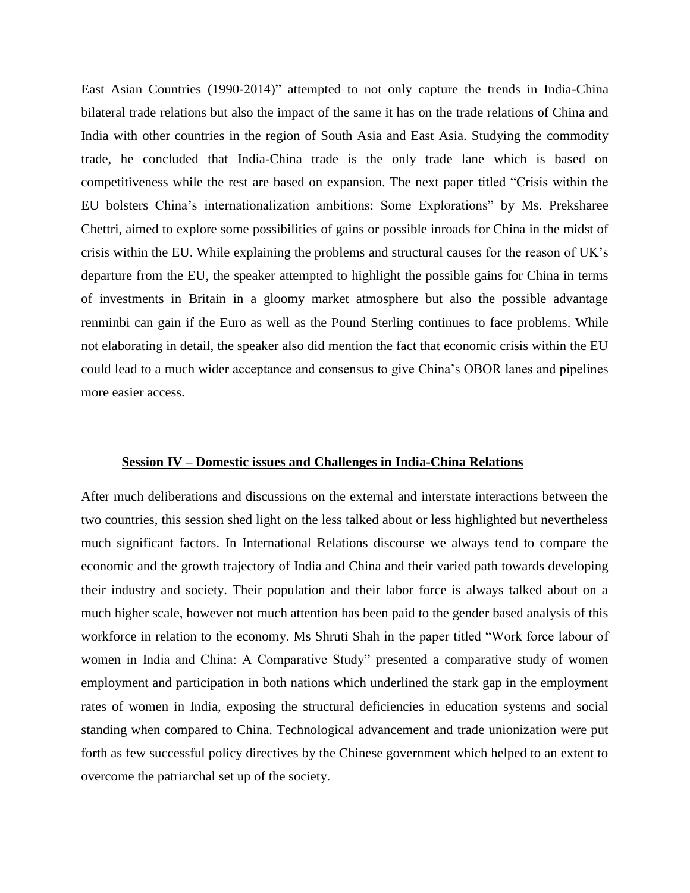East Asian Countries (1990-2014)" attempted to not only capture the trends in India-China bilateral trade relations but also the impact of the same it has on the trade relations of China and India with other countries in the region of South Asia and East Asia. Studying the commodity trade, he concluded that India-China trade is the only trade lane which is based on competitiveness while the rest are based on expansion. The next paper titled "Crisis within the EU bolsters China"s internationalization ambitions: Some Explorations" by Ms. Preksharee Chettri, aimed to explore some possibilities of gains or possible inroads for China in the midst of crisis within the EU. While explaining the problems and structural causes for the reason of UK"s departure from the EU, the speaker attempted to highlight the possible gains for China in terms of investments in Britain in a gloomy market atmosphere but also the possible advantage renminbi can gain if the Euro as well as the Pound Sterling continues to face problems. While not elaborating in detail, the speaker also did mention the fact that economic crisis within the EU could lead to a much wider acceptance and consensus to give China"s OBOR lanes and pipelines more easier access.

#### **Session IV – Domestic issues and Challenges in India-China Relations**

After much deliberations and discussions on the external and interstate interactions between the two countries, this session shed light on the less talked about or less highlighted but nevertheless much significant factors. In International Relations discourse we always tend to compare the economic and the growth trajectory of India and China and their varied path towards developing their industry and society. Their population and their labor force is always talked about on a much higher scale, however not much attention has been paid to the gender based analysis of this workforce in relation to the economy. Ms Shruti Shah in the paper titled "Work force labour of women in India and China: A Comparative Study" presented a comparative study of women employment and participation in both nations which underlined the stark gap in the employment rates of women in India, exposing the structural deficiencies in education systems and social standing when compared to China. Technological advancement and trade unionization were put forth as few successful policy directives by the Chinese government which helped to an extent to overcome the patriarchal set up of the society.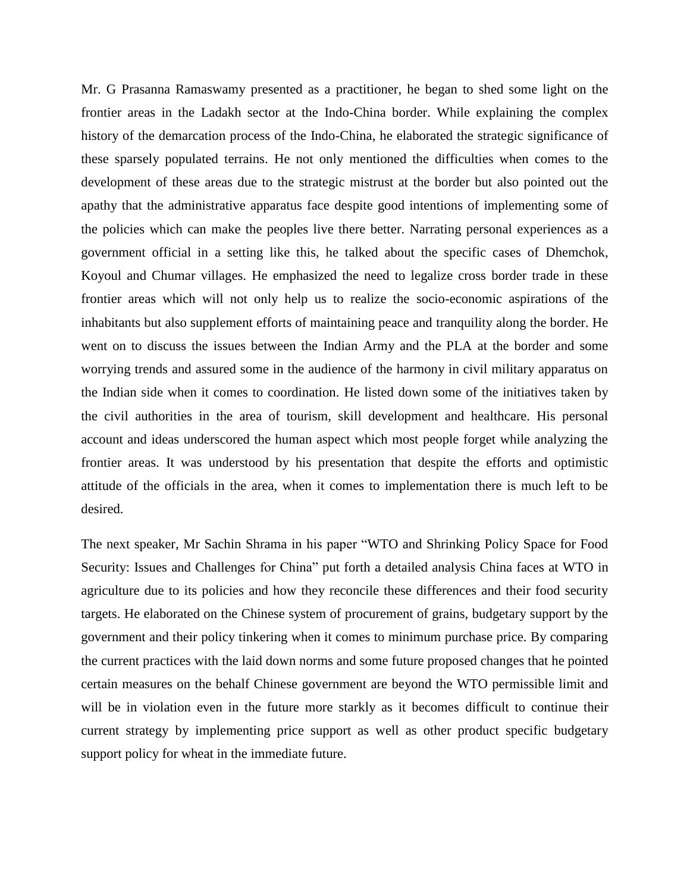Mr. G Prasanna Ramaswamy presented as a practitioner, he began to shed some light on the frontier areas in the Ladakh sector at the Indo-China border. While explaining the complex history of the demarcation process of the Indo-China, he elaborated the strategic significance of these sparsely populated terrains. He not only mentioned the difficulties when comes to the development of these areas due to the strategic mistrust at the border but also pointed out the apathy that the administrative apparatus face despite good intentions of implementing some of the policies which can make the peoples live there better. Narrating personal experiences as a government official in a setting like this, he talked about the specific cases of Dhemchok, Koyoul and Chumar villages. He emphasized the need to legalize cross border trade in these frontier areas which will not only help us to realize the socio-economic aspirations of the inhabitants but also supplement efforts of maintaining peace and tranquility along the border. He went on to discuss the issues between the Indian Army and the PLA at the border and some worrying trends and assured some in the audience of the harmony in civil military apparatus on the Indian side when it comes to coordination. He listed down some of the initiatives taken by the civil authorities in the area of tourism, skill development and healthcare. His personal account and ideas underscored the human aspect which most people forget while analyzing the frontier areas. It was understood by his presentation that despite the efforts and optimistic attitude of the officials in the area, when it comes to implementation there is much left to be desired.

The next speaker, Mr Sachin Shrama in his paper "WTO and Shrinking Policy Space for Food Security: Issues and Challenges for China" put forth a detailed analysis China faces at WTO in agriculture due to its policies and how they reconcile these differences and their food security targets. He elaborated on the Chinese system of procurement of grains, budgetary support by the government and their policy tinkering when it comes to minimum purchase price. By comparing the current practices with the laid down norms and some future proposed changes that he pointed certain measures on the behalf Chinese government are beyond the WTO permissible limit and will be in violation even in the future more starkly as it becomes difficult to continue their current strategy by implementing price support as well as other product specific budgetary support policy for wheat in the immediate future.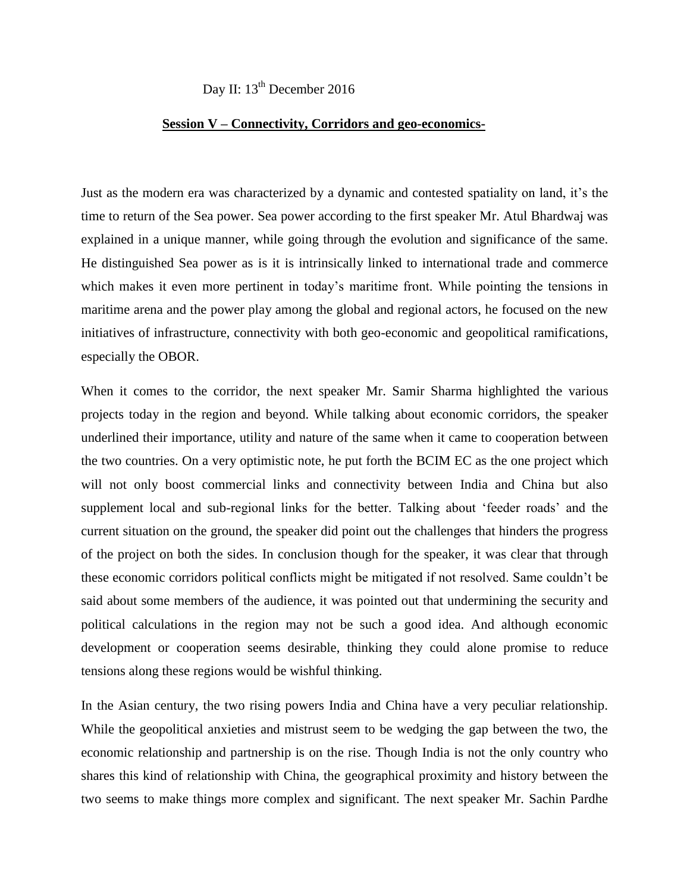Day II: 13<sup>th</sup> December 2016

#### **Session V – Connectivity, Corridors and geo-economics-**

Just as the modern era was characterized by a dynamic and contested spatiality on land, it's the time to return of the Sea power. Sea power according to the first speaker Mr. Atul Bhardwaj was explained in a unique manner, while going through the evolution and significance of the same. He distinguished Sea power as is it is intrinsically linked to international trade and commerce which makes it even more pertinent in today's maritime front. While pointing the tensions in maritime arena and the power play among the global and regional actors, he focused on the new initiatives of infrastructure, connectivity with both geo-economic and geopolitical ramifications, especially the OBOR.

When it comes to the corridor, the next speaker Mr. Samir Sharma highlighted the various projects today in the region and beyond. While talking about economic corridors, the speaker underlined their importance, utility and nature of the same when it came to cooperation between the two countries. On a very optimistic note, he put forth the BCIM EC as the one project which will not only boost commercial links and connectivity between India and China but also supplement local and sub-regional links for the better. Talking about 'feeder roads' and the current situation on the ground, the speaker did point out the challenges that hinders the progress of the project on both the sides. In conclusion though for the speaker, it was clear that through these economic corridors political conflicts might be mitigated if not resolved. Same couldn"t be said about some members of the audience, it was pointed out that undermining the security and political calculations in the region may not be such a good idea. And although economic development or cooperation seems desirable, thinking they could alone promise to reduce tensions along these regions would be wishful thinking.

In the Asian century, the two rising powers India and China have a very peculiar relationship. While the geopolitical anxieties and mistrust seem to be wedging the gap between the two, the economic relationship and partnership is on the rise. Though India is not the only country who shares this kind of relationship with China, the geographical proximity and history between the two seems to make things more complex and significant. The next speaker Mr. Sachin Pardhe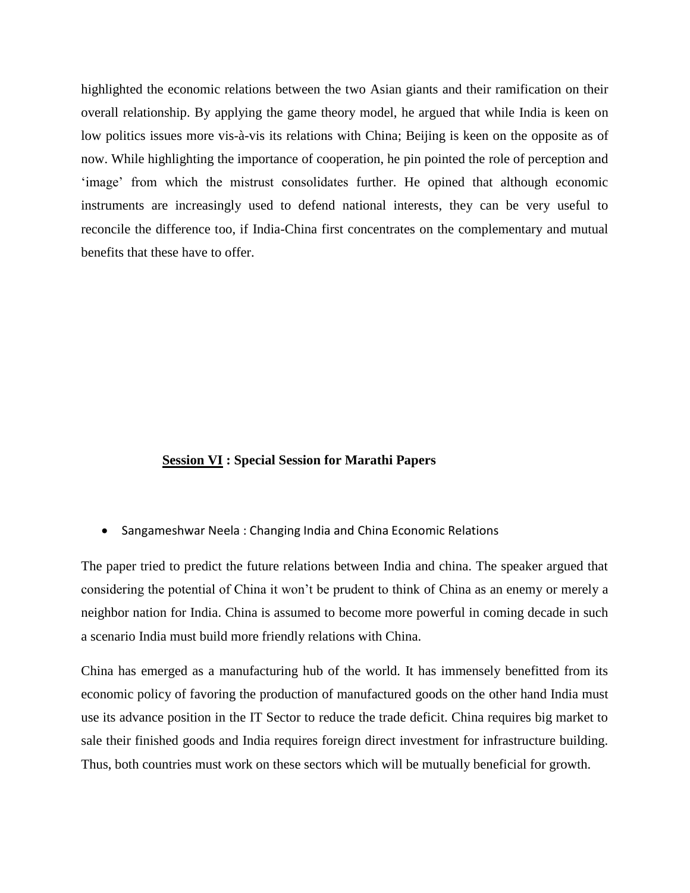highlighted the economic relations between the two Asian giants and their ramification on their overall relationship. By applying the game theory model, he argued that while India is keen on low politics issues more vis-à-vis its relations with China; Beijing is keen on the opposite as of now. While highlighting the importance of cooperation, he pin pointed the role of perception and 'image' from which the mistrust consolidates further. He opined that although economic instruments are increasingly used to defend national interests, they can be very useful to reconcile the difference too, if India-China first concentrates on the complementary and mutual benefits that these have to offer.

#### **Session VI : Special Session for Marathi Papers**

Sangameshwar Neela : Changing India and China Economic Relations

The paper tried to predict the future relations between India and china. The speaker argued that considering the potential of China it won"t be prudent to think of China as an enemy or merely a neighbor nation for India. China is assumed to become more powerful in coming decade in such a scenario India must build more friendly relations with China.

China has emerged as a manufacturing hub of the world. It has immensely benefitted from its economic policy of favoring the production of manufactured goods on the other hand India must use its advance position in the IT Sector to reduce the trade deficit. China requires big market to sale their finished goods and India requires foreign direct investment for infrastructure building. Thus, both countries must work on these sectors which will be mutually beneficial for growth.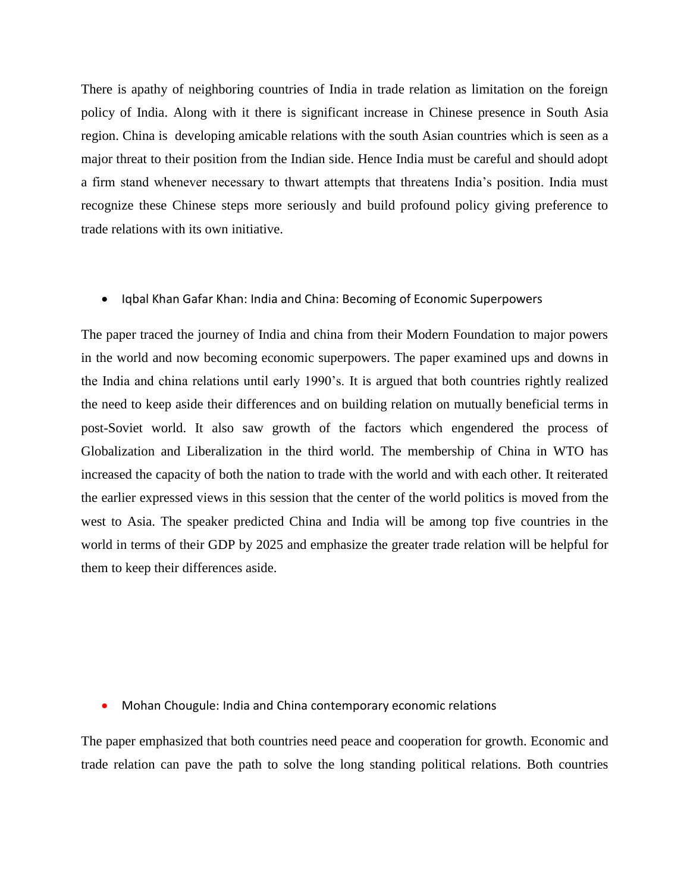There is apathy of neighboring countries of India in trade relation as limitation on the foreign policy of India. Along with it there is significant increase in Chinese presence in South Asia region. China is developing amicable relations with the south Asian countries which is seen as a major threat to their position from the Indian side. Hence India must be careful and should adopt a firm stand whenever necessary to thwart attempts that threatens India"s position. India must recognize these Chinese steps more seriously and build profound policy giving preference to trade relations with its own initiative.

#### • Iqbal Khan Gafar Khan: India and China: Becoming of Economic Superpowers

The paper traced the journey of India and china from their Modern Foundation to major powers in the world and now becoming economic superpowers. The paper examined ups and downs in the India and china relations until early 1990"s. It is argued that both countries rightly realized the need to keep aside their differences and on building relation on mutually beneficial terms in post-Soviet world. It also saw growth of the factors which engendered the process of Globalization and Liberalization in the third world. The membership of China in WTO has increased the capacity of both the nation to trade with the world and with each other. It reiterated the earlier expressed views in this session that the center of the world politics is moved from the west to Asia. The speaker predicted China and India will be among top five countries in the world in terms of their GDP by 2025 and emphasize the greater trade relation will be helpful for them to keep their differences aside.

Mohan Chougule: India and China contemporary economic relations

The paper emphasized that both countries need peace and cooperation for growth. Economic and trade relation can pave the path to solve the long standing political relations. Both countries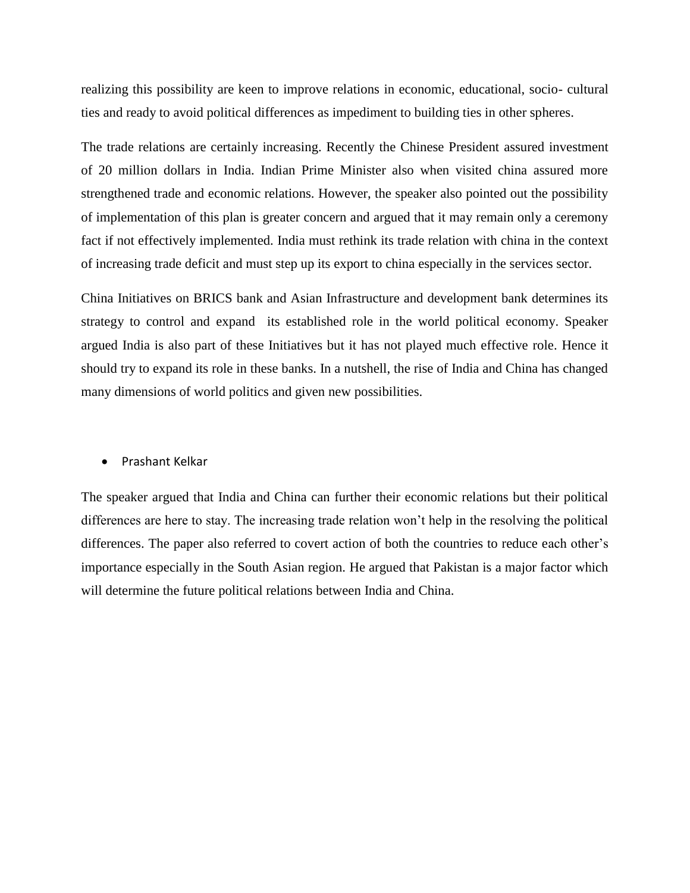realizing this possibility are keen to improve relations in economic, educational, socio- cultural ties and ready to avoid political differences as impediment to building ties in other spheres.

The trade relations are certainly increasing. Recently the Chinese President assured investment of 20 million dollars in India. Indian Prime Minister also when visited china assured more strengthened trade and economic relations. However, the speaker also pointed out the possibility of implementation of this plan is greater concern and argued that it may remain only a ceremony fact if not effectively implemented. India must rethink its trade relation with china in the context of increasing trade deficit and must step up its export to china especially in the services sector.

China Initiatives on BRICS bank and Asian Infrastructure and development bank determines its strategy to control and expand its established role in the world political economy. Speaker argued India is also part of these Initiatives but it has not played much effective role. Hence it should try to expand its role in these banks. In a nutshell, the rise of India and China has changed many dimensions of world politics and given new possibilities.

#### Prashant Kelkar

The speaker argued that India and China can further their economic relations but their political differences are here to stay. The increasing trade relation won"t help in the resolving the political differences. The paper also referred to covert action of both the countries to reduce each other's importance especially in the South Asian region. He argued that Pakistan is a major factor which will determine the future political relations between India and China.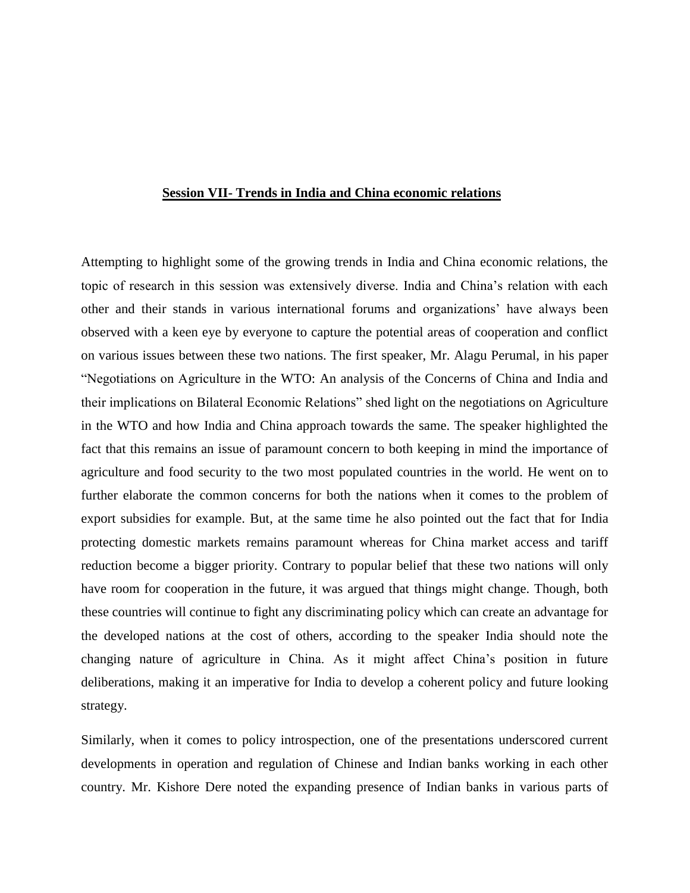#### **Session VII- Trends in India and China economic relations**

Attempting to highlight some of the growing trends in India and China economic relations, the topic of research in this session was extensively diverse. India and China"s relation with each other and their stands in various international forums and organizations" have always been observed with a keen eye by everyone to capture the potential areas of cooperation and conflict on various issues between these two nations. The first speaker, Mr. Alagu Perumal, in his paper "Negotiations on Agriculture in the WTO: An analysis of the Concerns of China and India and their implications on Bilateral Economic Relations" shed light on the negotiations on Agriculture in the WTO and how India and China approach towards the same. The speaker highlighted the fact that this remains an issue of paramount concern to both keeping in mind the importance of agriculture and food security to the two most populated countries in the world. He went on to further elaborate the common concerns for both the nations when it comes to the problem of export subsidies for example. But, at the same time he also pointed out the fact that for India protecting domestic markets remains paramount whereas for China market access and tariff reduction become a bigger priority. Contrary to popular belief that these two nations will only have room for cooperation in the future, it was argued that things might change. Though, both these countries will continue to fight any discriminating policy which can create an advantage for the developed nations at the cost of others, according to the speaker India should note the changing nature of agriculture in China. As it might affect China"s position in future deliberations, making it an imperative for India to develop a coherent policy and future looking strategy.

Similarly, when it comes to policy introspection, one of the presentations underscored current developments in operation and regulation of Chinese and Indian banks working in each other country. Mr. Kishore Dere noted the expanding presence of Indian banks in various parts of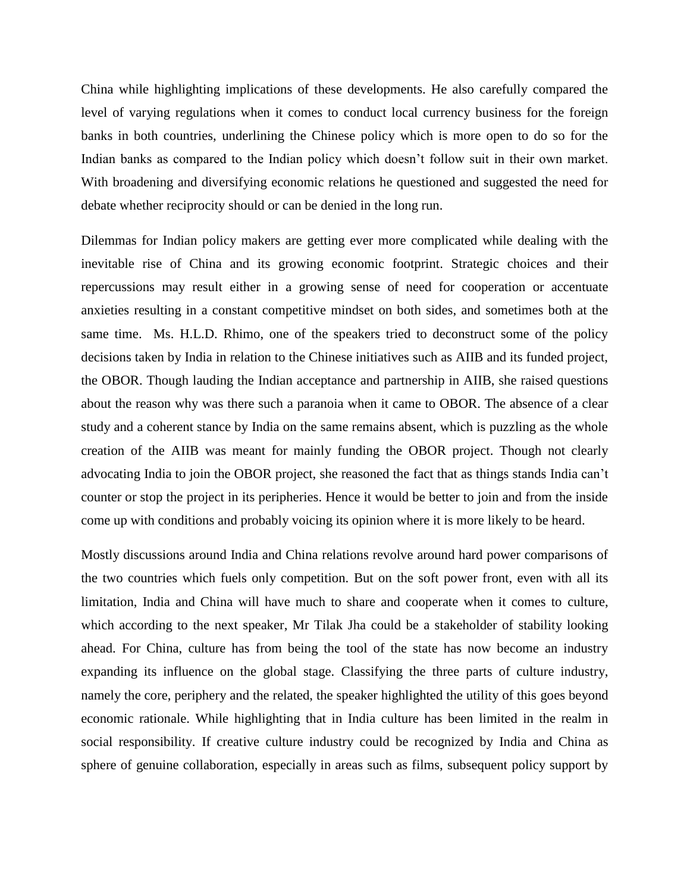China while highlighting implications of these developments. He also carefully compared the level of varying regulations when it comes to conduct local currency business for the foreign banks in both countries, underlining the Chinese policy which is more open to do so for the Indian banks as compared to the Indian policy which doesn"t follow suit in their own market. With broadening and diversifying economic relations he questioned and suggested the need for debate whether reciprocity should or can be denied in the long run.

Dilemmas for Indian policy makers are getting ever more complicated while dealing with the inevitable rise of China and its growing economic footprint. Strategic choices and their repercussions may result either in a growing sense of need for cooperation or accentuate anxieties resulting in a constant competitive mindset on both sides, and sometimes both at the same time. Ms. H.L.D. Rhimo, one of the speakers tried to deconstruct some of the policy decisions taken by India in relation to the Chinese initiatives such as AIIB and its funded project, the OBOR. Though lauding the Indian acceptance and partnership in AIIB, she raised questions about the reason why was there such a paranoia when it came to OBOR. The absence of a clear study and a coherent stance by India on the same remains absent, which is puzzling as the whole creation of the AIIB was meant for mainly funding the OBOR project. Though not clearly advocating India to join the OBOR project, she reasoned the fact that as things stands India can"t counter or stop the project in its peripheries. Hence it would be better to join and from the inside come up with conditions and probably voicing its opinion where it is more likely to be heard.

Mostly discussions around India and China relations revolve around hard power comparisons of the two countries which fuels only competition. But on the soft power front, even with all its limitation, India and China will have much to share and cooperate when it comes to culture, which according to the next speaker, Mr Tilak Jha could be a stakeholder of stability looking ahead. For China, culture has from being the tool of the state has now become an industry expanding its influence on the global stage. Classifying the three parts of culture industry, namely the core, periphery and the related, the speaker highlighted the utility of this goes beyond economic rationale. While highlighting that in India culture has been limited in the realm in social responsibility. If creative culture industry could be recognized by India and China as sphere of genuine collaboration, especially in areas such as films, subsequent policy support by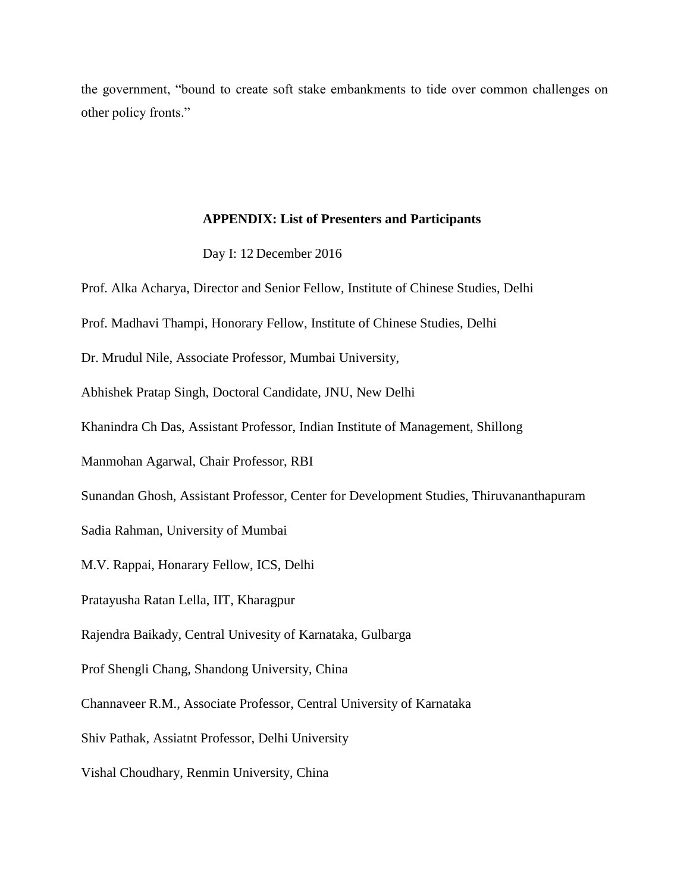the government, "bound to create soft stake embankments to tide over common challenges on other policy fronts."

#### **APPENDIX: List of Presenters and Participants**

Day I: 12 December 2016

Prof. Alka Acharya, Director and Senior Fellow, Institute of Chinese Studies, Delhi Prof. Madhavi Thampi, Honorary Fellow, Institute of Chinese Studies, Delhi Dr. Mrudul Nile, Associate Professor, Mumbai University, Abhishek Pratap Singh, Doctoral Candidate, JNU, New Delhi Khanindra Ch Das, Assistant Professor, Indian Institute of Management, Shillong Manmohan Agarwal, Chair Professor, RBI Sunandan Ghosh, Assistant Professor, Center for Development Studies, Thiruvananthapuram Sadia Rahman, University of Mumbai M.V. Rappai, Honarary Fellow, ICS, Delhi Pratayusha Ratan Lella, IIT, Kharagpur Rajendra Baikady, Central Univesity of Karnataka, Gulbarga Prof Shengli Chang, Shandong University, China Channaveer R.M., Associate Professor, Central University of Karnataka Shiv Pathak, Assiatnt Professor, Delhi University Vishal Choudhary, Renmin University, China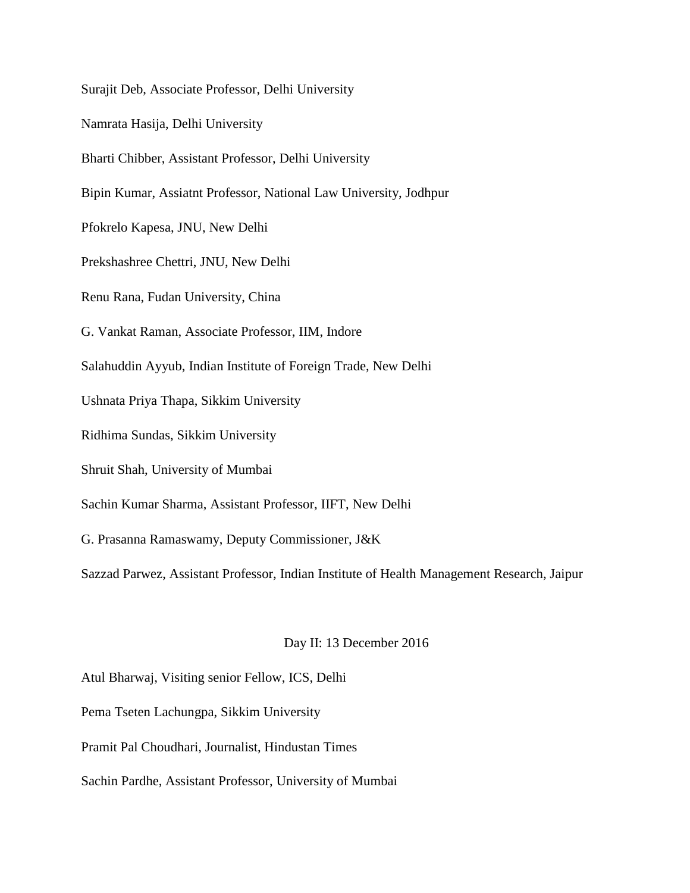Surajit Deb, Associate Professor, Delhi University Namrata Hasija, Delhi University Bharti Chibber, Assistant Professor, Delhi University Bipin Kumar, Assiatnt Professor, National Law University, Jodhpur Pfokrelo Kapesa, JNU, New Delhi Prekshashree Chettri, JNU, New Delhi Renu Rana, Fudan University, China G. Vankat Raman, Associate Professor, IIM, Indore Salahuddin Ayyub, Indian Institute of Foreign Trade, New Delhi Ushnata Priya Thapa, Sikkim University Ridhima Sundas, Sikkim University Shruit Shah, University of Mumbai Sachin Kumar Sharma, Assistant Professor, IIFT, New Delhi G. Prasanna Ramaswamy, Deputy Commissioner, J&K Sazzad Parwez, Assistant Professor, Indian Institute of Health Management Research, Jaipur

#### Day II: 13 December 2016

Atul Bharwaj, Visiting senior Fellow, ICS, Delhi

Pema Tseten Lachungpa, Sikkim University

Pramit Pal Choudhari, Journalist, Hindustan Times

Sachin Pardhe, Assistant Professor, University of Mumbai